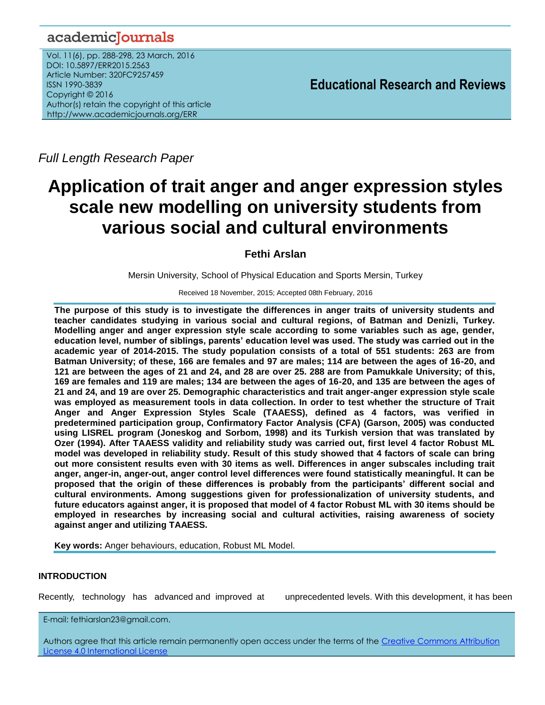# academicJournals

Vol. 11(6), pp. 288-298, 23 March, 2016 DOI: 10.5897/ERR2015.2563 Article Number: 320FC9257459 ISSN 1990-3839 Copyright © 2016 Author(s) retain the copyright of this article http://www.academicjournals.org/ERR

**Educational Research and Reviews**

*Full Length Research Paper*

# **Application of trait anger and anger expression styles scale new modelling on university students from various social and cultural environments**

# **Fethi Arslan**

Mersin University, School of Physical Education and Sports Mersin, Turkey

Received 18 November, 2015; Accepted 08th February, 2016

**The purpose of this study is to investigate the differences in anger traits of university students and teacher candidates studying in various social and cultural regions, of Batman and Denizli, Turkey. Modelling anger and anger expression style scale according to some variables such as age, gender, education level, number of siblings, parents' education level was used. The study was carried out in the academic year of 2014-2015. The study population consists of a total of 551 students: 263 are from Batman University; of these, 166 are females and 97 are males; 114 are between the ages of 16-20, and 121 are between the ages of 21 and 24, and 28 are over 25. 288 are from Pamukkale University; of this, 169 are females and 119 are males; 134 are between the ages of 16-20, and 135 are between the ages of 21 and 24, and 19 are over 25. Demographic characteristics and trait anger-anger expression style scale was employed as measurement tools in data collection. In order to test whether the structure of Trait Anger and Anger Expression Styles Scale (TAAESS), defined as 4 factors, was verified in predetermined participation group, Confirmatory Factor Analysis (CFA) (Garson, 2005) was conducted using LISREL program (Joneskog and Sorbom, 1998) and its Turkish version that was translated by Ozer (1994). After TAAESS validity and reliability study was carried out, first level 4 factor Robust ML model was developed in reliability study. Result of this study showed that 4 factors of scale can bring out more consistent results even with 30 items as well. Differences in anger subscales including trait anger, anger-in, anger-out, anger control level differences were found statistically meaningful. It can be proposed that the origin of these differences is probably from the participants' different social and cultural environments. Among suggestions given for professionalization of university students, and future educators against anger, it is proposed that model of 4 factor Robust ML with 30 items should be employed in researches by increasing social and cultural activities, raising awareness of society against anger and utilizing TAAESS.**

**Key words:** Anger behaviours, education, Robust ML Model.

# **INTRODUCTION**

Recently, technology has advanced and improved at unprecedented levels. With this development, it has been

E-mail: fethiarslan23@gmail.com.

Authors agree that this article remain permanently open access under the terms of the Creative Commons Attribution [License 4.0 International License](file://192.168.1.24/reading/Arts%20and%20Education/ERR/2014/sept/read/Correction%20Pdf%201/ERR-17.04.14-1816/Publication/Creative%20Co)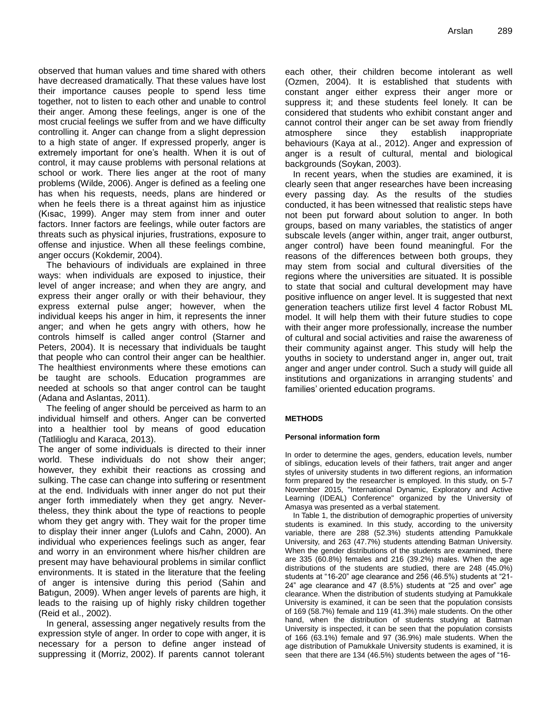observed that human values and time shared with others have decreased dramatically. That these values have lost their importance causes people to spend less time together, not to listen to each other and unable to control their anger. Among these feelings, anger is one of the most crucial feelings we suffer from and we have difficulty controlling it. Anger can change from a slight depression to a high state of anger. If expressed properly, anger is extremely important for one's health. When it is out of control, it may cause problems with personal relations at school or work. There lies anger at the root of many problems (Wilde, 2006). Anger is defined as a feeling one has when his requests, needs, plans are hindered or when he feels there is a threat against him as injustice (Kısac, 1999). Anger may stem from inner and outer factors. Inner factors are feelings, while outer factors are threats such as physical injuries, frustrations, exposure to offense and injustice. When all these feelings combine, anger occurs (Kokdemir, 2004).

The behaviours of individuals are explained in three ways: when individuals are exposed to injustice, their level of anger increase; and when they are angry, and express their anger orally or with their behaviour, they express external pulse anger; however, when the individual keeps his anger in him, it represents the inner anger; and when he gets angry with others, how he controls himself is called anger control (Starner and Peters, 2004). It is necessary that individuals be taught that people who can control their anger can be healthier. The healthiest environments where these emotions can be taught are schools. Education programmes are needed at schools so that anger control can be taught (Adana and Aslantas, 2011).

The feeling of anger should be perceived as harm to an individual himself and others. Anger can be converted into a healthier tool by means of good education (Tatlilioglu and Karaca, 2013).

The anger of some individuals is directed to their inner world. These individuals do not show their anger; however, they exhibit their reactions as crossing and sulking. The case can change into suffering or resentment at the end. Individuals with inner anger do not put their anger forth immediately when they get angry. Nevertheless, they think about the type of reactions to people whom they get angry with. They wait for the proper time to display their inner anger (Lulofs and Cahn, 2000). An individual who experiences feelings such as anger, fear and worry in an environment where his/her children are present may have behavioural problems in similar conflict environments. It is stated in the literature that the feeling of anger is intensive during this period (Sahin and Batıgun, 2009). When anger levels of parents are high, it leads to the raising up of highly risky children together (Reid et al., 2002).

In general, assessing anger negatively results from the expression style of anger. In order to cope with anger, it is necessary for a person to define anger instead of suppressing it (Morriz, 2002). If parents cannot tolerant

each other, their children become intolerant as well (Ozmen, 2004). It is established that students with constant anger either express their anger more or suppress it; and these students feel lonely. It can be considered that students who exhibit constant anger and cannot control their anger can be set away from friendly atmosphere since they establish inappropriate behaviours (Kaya at al., 2012). Anger and expression of anger is a result of cultural, mental and biological backgrounds (Soykan, 2003).

In recent years, when the studies are examined, it is clearly seen that anger researches have been increasing every passing day. As the results of the studies conducted, it has been witnessed that realistic steps have not been put forward about solution to anger. In both groups, based on many variables, the statistics of anger subscale levels (anger within, anger trait, anger outburst, anger control) have been found meaningful. For the reasons of the differences between both groups, they may stem from social and cultural diversities of the regions where the universities are situated. It is possible to state that social and cultural development may have positive influence on anger level. It is suggested that next generation teachers utilize first level 4 factor Robust ML model. It will help them with their future studies to cope with their anger more professionally, increase the number of cultural and social activities and raise the awareness of their community against anger. This study will help the youths in society to understand anger in, anger out, trait anger and anger under control. Such a study will guide all institutions and organizations in arranging students' and families' oriented education programs.

### **METHODS**

### **Personal information form**

In order to determine the ages, genders, education levels, number of siblings, education levels of their fathers, trait anger and anger styles of university students in two different regions, an information form prepared by the researcher is employed. In this study, on 5-7 November 2015, "International Dynamic, Exploratory and Active Learning (IDEAL) Conference" organized by the University of Amasya was presented as a verbal statement.

In Table 1, the distribution of demographic properties of university students is examined. In this study, according to the university variable, there are 288 (52.3%) students attending Pamukkale University, and 263 (47.7%) students attending Batman University. When the gender distributions of the students are examined, there are 335 (60.8%) females and 216 (39.2%) males. When the age distributions of the students are studied, there are 248 (45.0%) students at "16-20" age clearance and 256 (46.5%) students at "21- 24" age clearance and 47 (8.5%) students at "25 and over" age clearance. When the distribution of students studying at Pamukkale University is examined, it can be seen that the population consists of 169 (58.7%) female and 119 (41.3%) male students. On the other hand, when the distribution of students studying at Batman University is inspected, it can be seen that the population consists of 166 (63.1%) female and 97 (36.9%) male students. When the age distribution of Pamukkale University students is examined, it is seen that there are 134 (46.5%) students between the ages of "16-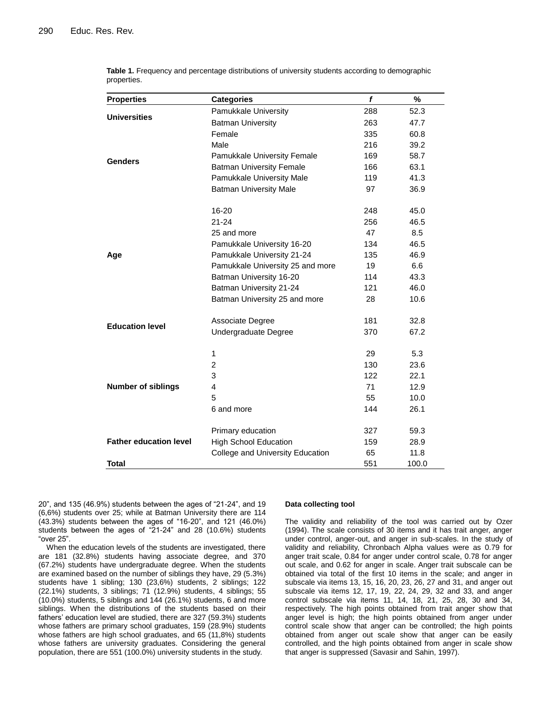| <b>Properties</b>             | <b>Categories</b>                | f   | %     |
|-------------------------------|----------------------------------|-----|-------|
|                               | Pamukkale University             | 288 | 52.3  |
| <b>Universities</b>           | <b>Batman University</b>         | 263 | 47.7  |
|                               | Female                           | 335 | 60.8  |
|                               | Male                             | 216 | 39.2  |
| <b>Genders</b>                | Pamukkale University Female      | 169 | 58.7  |
|                               | <b>Batman University Female</b>  | 166 | 63.1  |
|                               | Pamukkale University Male        | 119 | 41.3  |
|                               | <b>Batman University Male</b>    | 97  | 36.9  |
|                               | 16-20                            | 248 | 45.0  |
|                               | $21 - 24$                        | 256 | 46.5  |
|                               | 25 and more                      | 47  | 8.5   |
|                               | Pamukkale University 16-20       | 134 | 46.5  |
| Age                           | Pamukkale University 21-24       | 135 | 46.9  |
|                               | Pamukkale University 25 and more | 19  | 6.6   |
|                               | Batman University 16-20          | 114 | 43.3  |
|                               | Batman University 21-24          | 121 | 46.0  |
|                               | Batman University 25 and more    | 28  | 10.6  |
| <b>Education level</b>        | Associate Degree                 | 181 | 32.8  |
|                               | Undergraduate Degree             | 370 | 67.2  |
|                               | 1                                | 29  | 5.3   |
|                               | $\overline{c}$                   | 130 | 23.6  |
|                               | 3                                | 122 | 22.1  |
| <b>Number of siblings</b>     | 4                                | 71  | 12.9  |
|                               | 5                                | 55  | 10.0  |
|                               | 6 and more                       | 144 | 26.1  |
|                               | Primary education                | 327 | 59.3  |
| <b>Father education level</b> | <b>High School Education</b>     | 159 | 28.9  |
|                               | College and University Education | 65  | 11.8  |
| <b>Total</b>                  |                                  | 551 | 100.0 |

**Table 1.** Frequency and percentage distributions of university students according to demographic properties.

20", and 135 (46.9%) students between the ages of "21-24", and 19 (6,6%) students over 25; while at Batman University there are 114 (43.3%) students between the ages of "16-20", and 121 (46.0%) students between the ages of "21-24" and 28 (10.6%) students "over 25".

When the education levels of the students are investigated, there are 181 (32.8%) students having associate degree, and 370 (67.2%) students have undergraduate degree. When the students are examined based on the number of siblings they have, 29 (5.3%) students have 1 sibling; 130 (23,6%) students, 2 siblings; 122 (22.1%) students, 3 siblings; 71 (12.9%) students, 4 siblings; 55 (10.0%) students, 5 siblings and 144 (26.1%) students, 6 and more siblings. When the distributions of the students based on their fathers' education level are studied, there are 327 (59.3%) students whose fathers are primary school graduates, 159 (28.9%) students whose fathers are high school graduates, and 65 (11,8%) students whose fathers are university graduates. Considering the general population, there are 551 (100.0%) university students in the study.

#### **Data collecting tool**

The validity and reliability of the tool was carried out by Ozer (1994). The scale consists of 30 items and it has trait anger, anger under control, anger-out, and anger in sub-scales. In the study of validity and reliability, Chronbach Alpha values were as 0.79 for anger trait scale, 0.84 for anger under control scale, 0.78 for anger out scale, and 0.62 for anger in scale. Anger trait subscale can be obtained via total of the first 10 items in the scale; and anger in subscale via items 13, 15, 16, 20, 23, 26, 27 and 31, and anger out subscale via items 12, 17, 19, 22, 24, 29, 32 and 33, and anger control subscale via items 11, 14, 18, 21, 25, 28, 30 and 34, respectively. The high points obtained from trait anger show that anger level is high; the high points obtained from anger under control scale show that anger can be controlled; the high points obtained from anger out scale show that anger can be easily controlled, and the high points obtained from anger in scale show that anger is suppressed (Savasir and Sahin, 1997).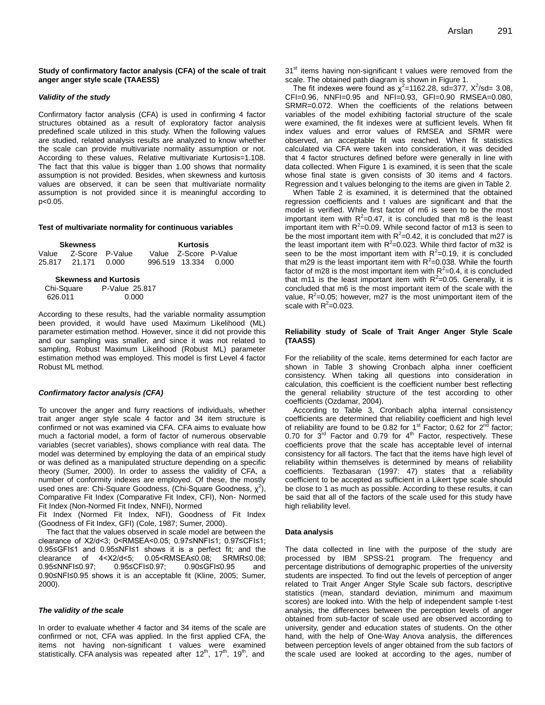#### **Study of confirmatory factor analysis (CFA) of the scale of trait anger anger style scale (TAAESS)**

#### *Validity of the study*

Confirmatory factor analysis (CFA) is used in confirming 4 factor structures obtained as a result of exploratory factor analysis predefined scale utilized in this study. When the following values are studied, related analysis results are analyzed to know whether the scale can provide multivariate normality assumption or not. According to these values, Relative multivariate Kurtosis=1.108. The fact that this value is bigger than 1.00 shows that normality assumption is not provided. Besides, when skewness and kurtosis values are observed, it can be seen that multivariate normality assumption is not provided since it is meaningful according to p<0.05.

#### **Test of multivariate normality for continuous variables**

| <b>Skewness</b>       |       | Kurtosis             |                       |
|-----------------------|-------|----------------------|-----------------------|
| Value Z-Score P-Value |       |                      | Value Z-Score P-Value |
| 25.817 21.171         | 0.000 | 996.519 13.334 0.000 |                       |

 **Skewness and Kurtosis**

| Chi-Square | P-Value 25.817 |
|------------|----------------|
| 626.011    | 0.000          |

According to these results, had the variable normality assumption been provided, it would have used Maximum Likelihood (ML) parameter estimation method. However, since it did not provide this and our sampling was smaller, and since it was not related to sampling, Robust Maximum Likelihood (Robust ML) parameter estimation method was employed. This model is first Level 4 factor Robust ML method.

#### *Confirmatory factor analysis (CFA)*

To uncover the anger and furry reactions of individuals, whether trait anger anger style scale 4 factor and 34 item structure is confirmed or not was examined via CFA. CFA aims to evaluate how much a factorial model, a form of factor of numerous observable variables (secret variables), shows compliance with real data. The model was determined by employing the data of an empirical study or was defined as a manipulated structure depending on a specific theory (Sumer, 2000). In order to assess the validity of CFA, a number of conformity indexes are employed. Of these, the mostly used ones are: Chi-Square Goodness, (Chi-Square Goodness,  $\chi^2$ ), Comparative Fit Index (Comparative Fit Index, CFI), Non- Normed Fit Index (Non-Normed Fit Index, NNFI), Normed

Fit Index (Normed Fit Index, NFI), Goodness of Fit Index (Goodness of Fit Index, GFI) (Cole, 1987; Sumer, 2000).

The fact that the values observed in scale model are between the clearance of Χ2/d<3; 0<RMSEA<0.05; 0.97≤NNFI≤1; 0.97≤CFI≤1; 0.95≤GFI≤1 and 0.95≤NFI≤1 shows it is a perfect fit; and the clearance of 4<X2/d<5; 0.05<RMSEA≤0.08; SRMR≤0.08;<br>0.95≤NNFI≤0.97: 0.95≤CFI≤0.97: 0.90≤GFI≤0.95 and 0.95≤CFI≤0.97; 0.90≤GFI≤0.95 and 0.90≤NFI≤0.95 shows it is an acceptable fit (Kline, 2005; Sumer, 2000).

#### *The validity of the scale*

In order to evaluate whether 4 factor and 34 items of the scale are confirmed or not, CFA was applied. In the first applied CFA, the items not having non-significant t values were examined statistically. CFA analysis was repeated after 12<sup>th</sup>, 17<sup>th</sup>, 19<sup>th</sup>, and

31<sup>st</sup> items having non-significant t values were removed from the scale. The obtained path diagram is shown in Figure 1.

The fit indexes were found as  $\chi^2$ =1162.28, sd=377,  $\chi^2$ /sd= 3.08, CFI=0.96, NNFI=0.95 and NFI=0.93, GFI=0.90 RMSEA=0.080, SRMR=0.072. When the coefficients of the relations between variables of the model exhibiting factorial structure of the scale were examined, the fit indexes were at sufficient levels. When fit index values and error values of RMSEA and SRMR were observed, an acceptable fit was reached. When fit statistics calculated via CFA were taken into consideration, it was decided that 4 factor structures defined before were generally in line with data collected. When Figure 1 is examined, it is seen that the scale whose final state is given consists of 30 items and 4 factors. Regression and t values belonging to the items are given in Table 2.

When Table 2 is examined, it is determined that the obtained regression coefficients and t values are significant and that the model is verified. While first factor of m6 is seen to be the most important item with  $R^2$ =0.47, it is concluded that m8 is the least important item with  $R^2$ =0.09. While second factor of m13 is seen to be the most important item with  $R^2$ =0.42, it is concluded that m27 is the least important item with  $R^2$ =0.023. While third factor of m32 is seen to be the most important item with  $R^2 = 0.19$ , it is concluded that m29 is the least important item with  $R^2$ =0.038. While the fourth factor of m28 is the most important item with  $R^2$ =0.4, it is concluded that m11 is the least important item with  $R^2$ =0.05. Generally, it is concluded that m6 is the most important item of the scale with the value,  $R^2$ =0.05; however, m27 is the most unimportant item of the scale with  $R^2$ =0.023.

#### **Reliability study of Scale of Trait Anger Anger Style Scale (TAASS)**

For the reliability of the scale, items determined for each factor are shown in Table 3 showing Cronbach alpha inner coefficient consistency. When taking all questions into consideration in calculation, this coefficient is the coefficient number best reflecting the general reliability structure of the test according to other coefficients (Ozdamar, 2004).

According to Table 3, Cronbach alpha internal consistency coefficients are determined that reliability coefficient and high level of reliability are found to be 0.82 for  $1<sup>st</sup>$  Factor; 0.62 for  $2<sup>nd</sup>$  factor; 0.70 for  $3^{rd}$  Factor and 0.79 for  $4^{th}$  Factor, respectively. These coefficients prove that the scale has acceptable level of internal consistency for all factors. The fact that the items have high level of reliability within themselves is determined by means of reliability coefficients. Tezbasaran (1997: 47) states that a reliability coefficient to be accepted as sufficient in a Likert type scale should be close to 1 as much as possible. According to these results, it can be said that all of the factors of the scale used for this study have high reliability level.

#### **Data analysis**

The data collected in line with the purpose of the study are processed by IBM SPSS-21 program. The frequency and percentage distributions of demographic properties of the university students are inspected. To find out the levels of perception of anger related to Trait Anger Anger Style Scale sub factors, descriptive statistics (mean, standard deviation, minimum and maximum scores) are looked into. With the help of independent sample t-test analysis, the differences between the perception levels of anger obtained from sub-factor of scale used are observed according to university, gender and education states of students. On the other hand, with the help of One-Way Anova analysis, the differences between perception levels of anger obtained from the sub factors of the scale used are looked at according to the ages, number of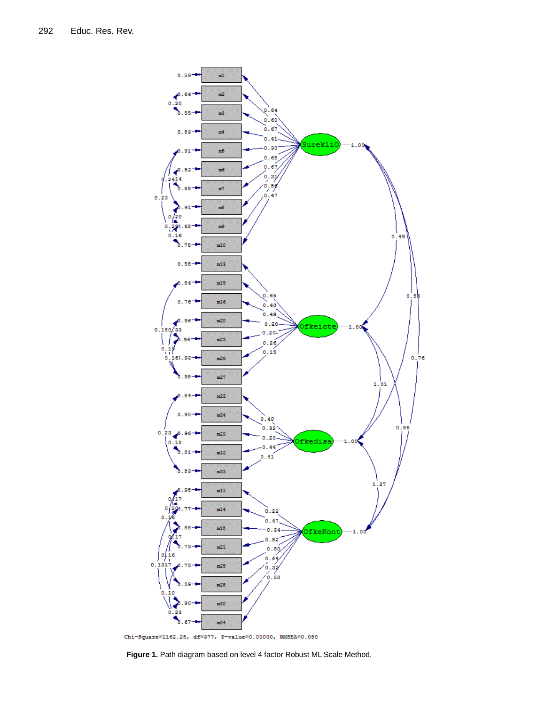

Chi-Square=1162.28, df=377, P-value=0.00000, RMSEA=0.080

Figure 1. Path diagram based on level 4 factor Robust ML Scale Method.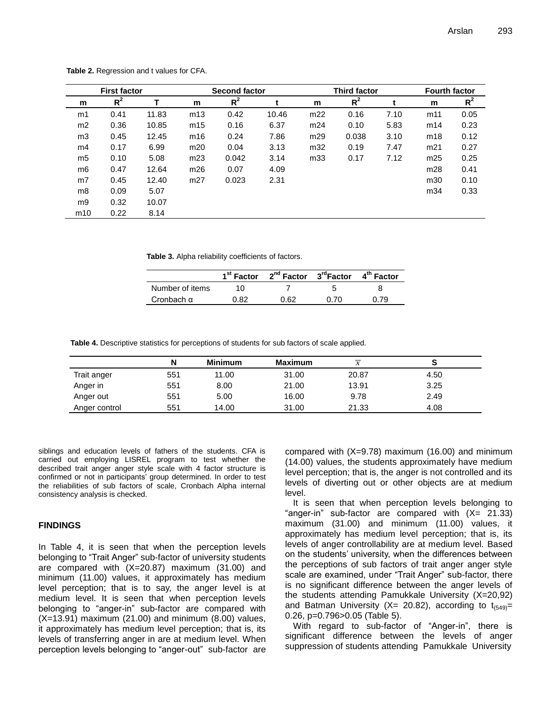|                | <b>First factor</b> |       |                 | <b>Second factor</b> |       |                 | <b>Third factor</b> |      | <b>Fourth factor</b> |       |
|----------------|---------------------|-------|-----------------|----------------------|-------|-----------------|---------------------|------|----------------------|-------|
| m              | $R^2$               | т     | m               | $R^2$                |       | m               | $R^2$               |      | m                    | $R^2$ |
| m1             | 0.41                | 11.83 | m13             | 0.42                 | 10.46 | m22             | 0.16                | 7.10 | m11                  | 0.05  |
| m <sub>2</sub> | 0.36                | 10.85 | m15             | 0.16                 | 6.37  | m24             | 0.10                | 5.83 | m14                  | 0.23  |
| m3             | 0.45                | 12.45 | m16             | 0.24                 | 7.86  | m29             | 0.038               | 3.10 | m18                  | 0.12  |
| m4             | 0.17                | 6.99  | m20             | 0.04                 | 3.13  | m <sub>32</sub> | 0.19                | 7.47 | m <sub>21</sub>      | 0.27  |
| m5             | 0.10                | 5.08  | m <sub>23</sub> | 0.042                | 3.14  | m <sub>33</sub> | 0.17                | 7.12 | m25                  | 0.25  |
| m6             | 0.47                | 12.64 | m26             | 0.07                 | 4.09  |                 |                     |      | m28                  | 0.41  |
| m <sub>7</sub> | 0.45                | 12.40 | m27             | 0.023                | 2.31  |                 |                     |      | m30                  | 0.10  |
| m8             | 0.09                | 5.07  |                 |                      |       |                 |                     |      | m34                  | 0.33  |
| m9             | 0.32                | 10.07 |                 |                      |       |                 |                     |      |                      |       |
| m10            | 0.22                | 8.14  |                 |                      |       |                 |                     |      |                      |       |

**Table 2.** Regression and t values for CFA.

**Table 3.** Alpha reliability coefficients of factors.

|                   | 1 <sup>st</sup> Factor | 2 <sup>nd</sup> Factor 3 <sup>rd</sup> Factor |      | 4 <sup>th</sup> Factor |
|-------------------|------------------------|-----------------------------------------------|------|------------------------|
| Number of items   | 10                     |                                               |      |                        |
| Cronbach $\alpha$ | 0.82                   | 0.62                                          | በ 7በ | በ 79                   |

**Table 4.** Descriptive statistics for perceptions of students for sub factors of scale applied.

|               | N   | <b>Minimum</b> | Maximum | X     |      |
|---------------|-----|----------------|---------|-------|------|
| Trait anger   | 551 | 11.00          | 31.00   | 20.87 | 4.50 |
| Anger in      | 551 | 8.00           | 21.00   | 13.91 | 3.25 |
| Anger out     | 551 | 5.00           | 16.00   | 9.78  | 2.49 |
| Anger control | 551 | 14.00          | 31.00   | 21.33 | 4.08 |

siblings and education levels of fathers of the students. CFA is carried out employing LISREL program to test whether the described trait anger anger style scale with 4 factor structure is confirmed or not in participants' group determined. In order to test the reliabilities of sub factors of scale, Cronbach Alpha internal consistency analysis is checked.

# **FINDINGS**

In Table 4, it is seen that when the perception levels belonging to "Trait Anger" sub-factor of university students are compared with (X=20.87) maximum (31.00) and minimum (11.00) values, it approximately has medium level perception; that is to say, the anger level is at medium level. It is seen that when perception levels belonging to "anger-in" sub-factor are compared with (X=13.91) maximum (21.00) and minimum (8.00) values, it approximately has medium level perception; that is, its levels of transferring anger in are at medium level. When perception levels belonging to "anger-out" sub-factor are compared with (X=9.78) maximum (16.00) and minimum (14.00) values, the students approximately have medium level perception; that is, the anger is not controlled and its levels of diverting out or other objects are at medium level.

It is seen that when perception levels belonging to "anger-in" sub-factor are compared with (X= 21.33) maximum (31.00) and minimum (11.00) values, it approximately has medium level perception; that is, its levels of anger controllability are at medium level. Based on the students' university, when the differences between the perceptions of sub factors of trait anger anger style scale are examined, under "Trait Anger" sub-factor, there is no significant difference between the anger levels of the students attending Pamukkale University (X=20,92) and Batman University (X= 20.82), according to  $t_{(549)}$ = 0.26, p=0.796>0.05 (Table 5).

With regard to sub-factor of "Anger-in", there is significant difference between the levels of anger suppression of students attending Pamukkale University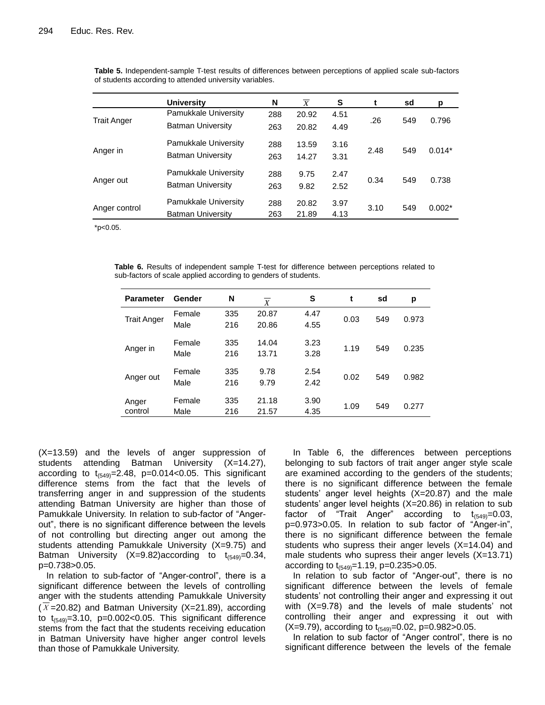|                    | <b>University</b>                                | N          | $\boldsymbol{X}$ | S            | t    | sd  | p        |
|--------------------|--------------------------------------------------|------------|------------------|--------------|------|-----|----------|
| <b>Trait Anger</b> | Pamukkale University                             | 288        | 20.92            | 4.51         |      |     |          |
|                    | <b>Batman University</b>                         | 263        | 20.82            | 4.49         | .26  | 549 | 0.796    |
| Anger in           | Pamukkale University<br><b>Batman University</b> | 288<br>263 | 13.59<br>14.27   | 3.16<br>3.31 | 2.48 | 549 | $0.014*$ |
| Anger out          | Pamukkale University<br><b>Batman University</b> | 288<br>263 | 9.75<br>9.82     | 2.47<br>2.52 | 0.34 | 549 | 0.738    |
| Anger control      | Pamukkale University<br><b>Batman University</b> | 288<br>263 | 20.82<br>21.89   | 3.97<br>4.13 | 3.10 | 549 | $0.002*$ |

**Table 5.** Independent-sample T-test results of differences between perceptions of applied scale sub-factors of students according to attended university variables.

\*p<0.05.

**Table 6.** Results of independent sample T-test for difference between perceptions related to sub-factors of scale applied according to genders of students.

| <b>Parameter</b>   | Gender         | N          | X              | S            | t    | sd  | р     |
|--------------------|----------------|------------|----------------|--------------|------|-----|-------|
| <b>Trait Anger</b> | Female<br>Male | 335<br>216 | 20.87<br>20.86 | 4.47<br>4.55 | 0.03 | 549 | 0.973 |
| Anger in           | Female<br>Male | 335<br>216 | 14.04<br>13.71 | 3.23<br>3.28 | 1.19 | 549 | 0.235 |
| Anger out          | Female<br>Male | 335<br>216 | 9.78<br>9.79   | 2.54<br>2.42 | 0.02 | 549 | 0.982 |
| Anger<br>control   | Female<br>Male | 335<br>216 | 21.18<br>21.57 | 3.90<br>4.35 | 1.09 | 549 | 0.277 |

(X=13.59) and the levels of anger suppression of students attending Batman University (X=14.27), according to  $t_{(549)} = 2.48$ , p=0.014<0.05. This significant difference stems from the fact that the levels of transferring anger in and suppression of the students attending Batman University are higher than those of Pamukkale University. In relation to sub-factor of "Angerout", there is no significant difference between the levels of not controlling but directing anger out among the students attending Pamukkale University (X=9.75) and Batman University (X=9.82) according to  $t_{(549)} = 0.34$ , p=0.738>0.05.

In relation to sub-factor of "Anger-control", there is a significant difference between the levels of controlling anger with the students attending Pamukkale University  $(X = 20.82)$  and Batman University  $(X = 21.89)$ , according to  $t_{(549)} = 3.10$ , p=0.002<0.05. This significant difference stems from the fact that the students receiving education in Batman University have higher anger control levels than those of Pamukkale University.

In Table 6, the differences between perceptions belonging to sub factors of trait anger anger style scale are examined according to the genders of the students; there is no significant difference between the female students' anger level heights (X=20.87) and the male students' anger level heights (X=20.86) in relation to sub factor of "Trait Anger" according to  $t_{(549)} = 0.03$ , p=0.973>0.05. In relation to sub factor of "Anger-in", there is no significant difference between the female students who supress their anger levels (X=14.04) and male students who supress their anger levels  $(X=13.71)$ according to  $t_{(549)} = 1.19$ , p=0.235>0.05.

In relation to sub factor of "Anger-out", there is no significant difference between the levels of female students' not controlling their anger and expressing it out with (X=9.78) and the levels of male students' not controlling their anger and expressing it out with  $(X=9.79)$ , according to  $t_{(549)}=0.02$ , p=0.982>0.05.

In relation to sub factor of "Anger control", there is no significant difference between the levels of the female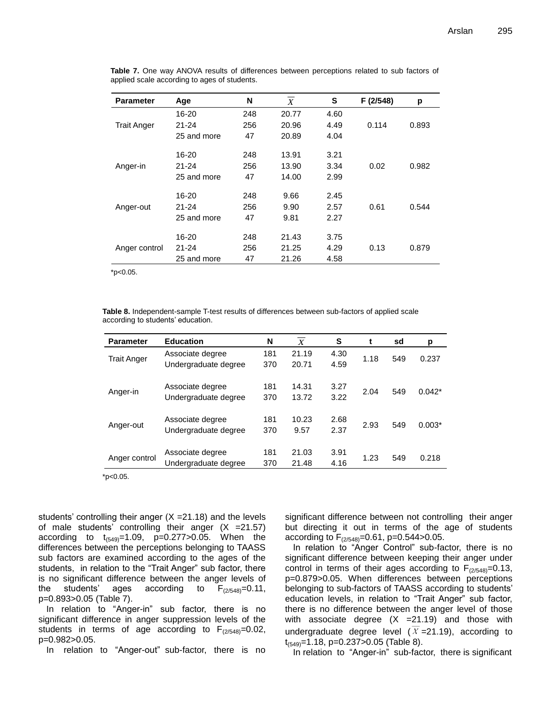| <b>Parameter</b>   | Age         | N   | X     | S    | F (2/548) | p     |
|--------------------|-------------|-----|-------|------|-----------|-------|
|                    | $16 - 20$   | 248 | 20.77 | 4.60 |           |       |
| <b>Trait Anger</b> | $21 - 24$   | 256 | 20.96 | 4.49 | 0.114     | 0.893 |
|                    | 25 and more | 47  | 20.89 | 4.04 |           |       |
|                    | $16 - 20$   | 248 | 13.91 | 3.21 |           |       |
| Anger-in           | $21 - 24$   | 256 | 13.90 | 3.34 | 0.02      | 0.982 |
|                    | 25 and more | 47  | 14.00 | 2.99 |           |       |
|                    | $16 - 20$   | 248 | 9.66  | 2.45 |           |       |
| Anger-out          | $21 - 24$   | 256 | 9.90  | 2.57 | 0.61      | 0.544 |
|                    | 25 and more | 47  | 9.81  | 2.27 |           |       |
|                    | $16 - 20$   | 248 | 21.43 | 3.75 |           |       |
| Anger control      | $21 - 24$   | 256 | 21.25 | 4.29 | 0.13      | 0.879 |
|                    | 25 and more | 47  | 21.26 | 4.58 |           |       |

**Table 7.** One way ANOVA results of differences between perceptions related to sub factors of applied scale according to ages of students.

\*p<0.05.

**Table 8.** Independent-sample T-test results of differences between sub-factors of applied scale according to students' education.

| <b>Parameter</b>   | <b>Education</b>                         | N          | $\boldsymbol{X}$ | s            | t    | sd  | p        |
|--------------------|------------------------------------------|------------|------------------|--------------|------|-----|----------|
| <b>Trait Anger</b> | Associate degree<br>Undergraduate degree | 181<br>370 | 21.19<br>20.71   | 4.30<br>4.59 | 1.18 | 549 | 0.237    |
| Anger-in           | Associate degree<br>Undergraduate degree | 181<br>370 | 14.31<br>13.72   | 3.27<br>3.22 | 2.04 | 549 | $0.042*$ |
| Anger-out          | Associate degree<br>Undergraduate degree | 181<br>370 | 10.23<br>9.57    | 2.68<br>2.37 | 2.93 | 549 | $0.003*$ |
| Anger control      | Associate degree<br>Undergraduate degree | 181<br>370 | 21.03<br>21.48   | 3.91<br>4.16 | 1.23 | 549 | 0.218    |

\*p<0.05.

students' controlling their anger  $(X = 21.18)$  and the levels of male students' controlling their anger  $(X = 21.57)$ according to  $t_{(549)} = 1.09$ , p=0.277>0.05. When the differences between the perceptions belonging to TAASS sub factors are examined according to the ages of the students, in relation to the "Trait Anger" sub factor, there is no significant difference between the anger levels of the students' ages according to  $F_{(2/548)} = 0.11$ , p=0.893>0.05 (Table 7).

In relation to "Anger-in" sub factor, there is no significant difference in anger suppression levels of the students in terms of age according to  $F_{(2/548)} = 0.02$ , p=0.982>0.05.

In relation to "Anger-out" sub-factor, there is no

significant difference between not controlling their anger but directing it out in terms of the age of students according to  $F_{(2/548)} = 0.61$ , p=0.544>0.05.

In relation to "Anger Control" sub-factor, there is no significant difference between keeping their anger under control in terms of their ages according to  $F_{(2/548)} = 0.13$ , p=0.879>0.05. When differences between perceptions belonging to sub-factors of TAASS according to students' education levels, in relation to "Trait Anger" sub factor, there is no difference between the anger level of those with associate degree  $(X = 21.19)$  and those with undergraduate degree level  $(X = 21.19)$ , according to  $t_{(549)} = 1.18$ , p=0.237>0.05 (Table 8).

In relation to "Anger-in" sub-factor, there is significant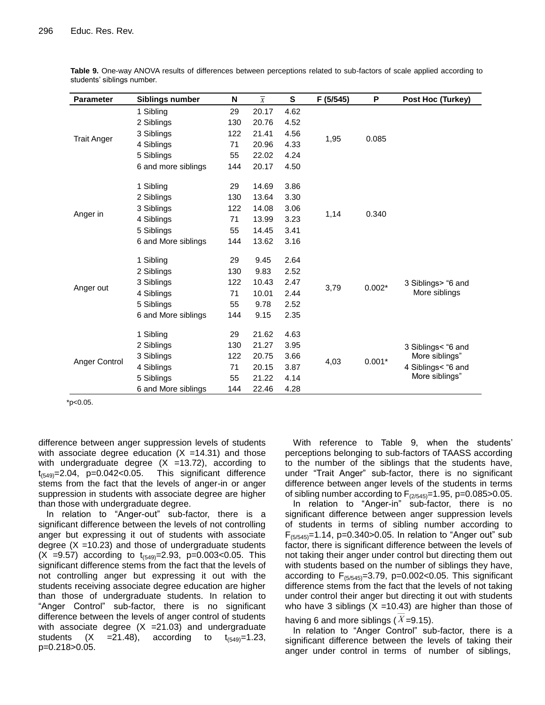| <b>Parameter</b>   | Siblings number     | N   | $\overline{X}$ | ${\bf S}$ | F (5/545) | P        | Post Hoc (Turkey)  |  |  |
|--------------------|---------------------|-----|----------------|-----------|-----------|----------|--------------------|--|--|
|                    | 1 Sibling           | 29  | 20.17          | 4.62      |           |          |                    |  |  |
|                    | 2 Siblings          | 130 | 20.76          | 4.52      |           |          |                    |  |  |
|                    | 3 Siblings          | 122 | 21.41          | 4.56      |           |          |                    |  |  |
| <b>Trait Anger</b> | 4 Siblings          | 71  | 20.96          | 4.33      | 1,95      | 0.085    |                    |  |  |
|                    | 5 Siblings          | 55  | 22.02          | 4.24      |           |          |                    |  |  |
|                    | 6 and more siblings | 144 | 20.17          | 4.50      |           |          |                    |  |  |
|                    | 1 Sibling           | 29  | 14.69          | 3.86      |           |          |                    |  |  |
|                    | 2 Siblings          | 130 | 13.64          | 3.30      |           | 0.340    |                    |  |  |
|                    | 3 Siblings          | 122 | 14.08          | 3.06      | 1,14      |          |                    |  |  |
| Anger in           | 4 Siblings          | 71  | 13.99          | 3.23      |           |          |                    |  |  |
|                    | 5 Siblings          | 55  | 14.45          | 3.41      |           |          |                    |  |  |
|                    | 6 and More siblings | 144 | 13.62          | 3.16      |           |          |                    |  |  |
|                    | 1 Sibling           | 29  | 9.45           | 2.64      |           | $0.002*$ |                    |  |  |
|                    | 2 Siblings          | 130 | 9.83           | 2.52      |           |          |                    |  |  |
|                    | 3 Siblings          | 122 | 10.43          | 2.47      |           |          | 3 Siblings> "6 and |  |  |
| Anger out          | 4 Siblings          | 71  | 10.01          | 2.44      | 3,79      |          | More siblings      |  |  |
|                    | 5 Siblings          | 55  | 9.78           | 2.52      |           |          |                    |  |  |
|                    | 6 and More siblings | 144 | 9.15           | 2.35      |           |          |                    |  |  |
|                    | 1 Sibling           | 29  | 21.62          | 4.63      |           |          |                    |  |  |
|                    | 2 Siblings          | 130 | 21.27          | 3.95      |           |          | 3 Siblings< "6 and |  |  |
|                    | 3 Siblings          | 122 | 20.75          | 3.66      |           |          | More siblings"     |  |  |
| Anger Control      | 4 Siblings          | 71  | 20.15          | 3.87      | 4,03      | $0.001*$ | 4 Siblings< "6 and |  |  |
|                    | 5 Siblings          | 55  | 21.22          | 4.14      |           |          | More siblings"     |  |  |
|                    | 6 and More siblings | 144 | 22.46          | 4.28      |           |          |                    |  |  |

**Table 9.** One-way ANOVA results of differences between perceptions related to sub-factors of scale applied according to students' siblings number.

\*p<0.05.

difference between anger suppression levels of students with associate degree education  $(X = 14.31)$  and those with undergraduate degree  $(X = 13.72)$ , according to  $t_{(549)}$ =2.04, p=0.042<0.05. This significant difference stems from the fact that the levels of anger-in or anger suppression in students with associate degree are higher than those with undergraduate degree.

In relation to "Anger-out" sub-factor, there is a significant difference between the levels of not controlling anger but expressing it out of students with associate degree  $(X = 10.23)$  and those of undergraduate students  $(X = 9.57)$  according to  $t_{(549)} = 2.93$ , p=0.003<0.05. This significant difference stems from the fact that the levels of not controlling anger but expressing it out with the students receiving associate degree education are higher than those of undergraduate students. In relation to "Anger Control" sub-factor, there is no significant difference between the levels of anger control of students with associate degree  $(X = 21.03)$  and undergraduate students  $(X = 21.48)$ , according to  $t_{(549)} = 1.23$ , p=0.218>0.05.

With reference to Table 9, when the students' perceptions belonging to sub-factors of TAASS according to the number of the siblings that the students have, under "Trait Anger" sub-factor, there is no significant difference between anger levels of the students in terms of sibling number according to  $F_{(2/545)}=1.95$ , p=0.085>0.05.

In relation to "Anger-in" sub-factor, there is no significant difference between anger suppression levels of students in terms of sibling number according to  $F_{(5/545)}$ =1.14, p=0.340>0.05. In relation to "Anger out" sub factor, there is significant difference between the levels of not taking their anger under control but directing them out with students based on the number of siblings they have, according to  $F_{(5/545)} = 3.79$ , p=0.002<0.05. This significant difference stems from the fact that the levels of not taking under control their anger but directing it out with students who have 3 siblings  $(X = 10.43)$  are higher than those of having 6 and more siblings ( $X = 9.15$ ).

In relation to "Anger Control" sub-factor, there is a significant difference between the levels of taking their anger under control in terms of number of siblings,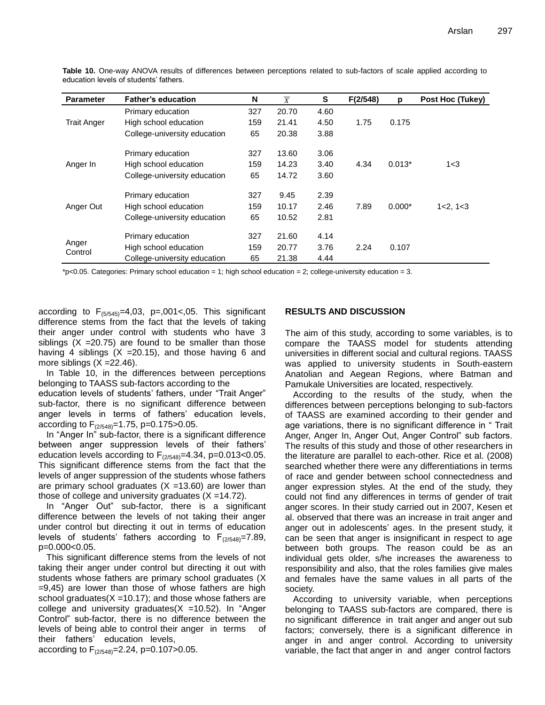| <b>Parameter</b>   | <b>Father's education</b>    | N   | $\overline{X}$ | S    | F(2/548) | D        | Post Hoc (Tukey) |
|--------------------|------------------------------|-----|----------------|------|----------|----------|------------------|
| <b>Trait Anger</b> | Primary education            | 327 | 20.70          | 4.60 |          |          |                  |
|                    | High school education        | 159 | 21.41          | 4.50 | 1.75     | 0.175    |                  |
|                    | College-university education | 65  | 20.38          | 3.88 |          |          |                  |
|                    | Primary education            | 327 | 13.60          | 3.06 |          |          |                  |
| Anger In           | High school education        | 159 | 14.23          | 3.40 | 4.34     | $0.013*$ | 1<3              |
|                    | College-university education | 65  | 14.72          | 3.60 |          |          |                  |
|                    | Primary education            | 327 | 9.45           | 2.39 |          |          |                  |
| Anger Out          | High school education        | 159 | 10.17          | 2.46 | 7.89     | $0.000*$ | 1 < 2, 1 < 3     |
|                    | College-university education | 65  | 10.52          | 2.81 |          |          |                  |
| Anger<br>Control   | Primary education            | 327 | 21.60          | 4.14 |          |          |                  |
|                    | High school education        | 159 | 20.77          | 3.76 | 2.24     | 0.107    |                  |
|                    | College-university education | 65  | 21.38          | 4.44 |          |          |                  |

**Table 10.** One-way ANOVA results of differences between perceptions related to sub-factors of scale applied according to education levels of students' fathers.

 $*p$ <0.05. Categories: Primary school education = 1; high school education = 2; college-university education = 3.

according to  $F_{(5/545)}=4,03$ , p=,001<,05. This significant difference stems from the fact that the levels of taking their anger under control with students who have 3 siblings  $(X = 20.75)$  are found to be smaller than those having 4 siblings  $(X = 20.15)$ , and those having 6 and more siblings  $(X = 22.46)$ .

In Table 10, in the differences between perceptions belonging to TAASS sub-factors according to the education levels of students' fathers, under "Trait Anger"

sub-factor, there is no significant difference between anger levels in terms of fathers' education levels, according to  $F_{(2/548)} = 1.75$ , p=0.175>0.05.

In "Anger In" sub-factor, there is a significant difference between anger suppression levels of their fathers' education levels according to  $F_{(2/548)}=4.34$ , p=0.013<0.05. This significant difference stems from the fact that the levels of anger suppression of the students whose fathers are primary school graduates  $(X = 13.60)$  are lower than those of college and university graduates  $(X = 14.72)$ .

In "Anger Out" sub-factor, there is a significant difference between the levels of not taking their anger under control but directing it out in terms of education levels of students' fathers according to  $F_{(2/548)} = 7.89$ , p=0.000<0.05.

This significant difference stems from the levels of not taking their anger under control but directing it out with students whose fathers are primary school graduates (X  $=9,45$ ) are lower than those of whose fathers are high school graduates( $X = 10.17$ ); and those whose fathers are college and university graduates $(X = 10.52)$ . In "Anger Control" sub-factor, there is no difference between the levels of being able to control their anger in terms of their fathers' education levels,

according to  $F_{(2/548)} = 2.24$ , p=0.107>0.05.

# **RESULTS AND DISCUSSION**

The aim of this study, according to some variables, is to compare the TAASS model for students attending universities in different social and cultural regions. TAASS was applied to university students in South-eastern Anatolian and Aegean Regions, where Batman and Pamukale Universities are located, respectively.

According to the results of the study, when the differences between perceptions belonging to sub-factors of TAASS are examined according to their gender and age variations, there is no significant difference in " Trait Anger, Anger In, Anger Out, Anger Control" sub factors. The results of this study and those of other researchers in the literature are parallel to each-other. Rice et al. (2008) searched whether there were any differentiations in terms of race and gender between school connectedness and anger expression styles. At the end of the study, they could not find any differences in terms of gender of trait anger scores. In their study carried out in 2007, Kesen et al. observed that there was an increase in trait anger and anger out in adolescents' ages. In the present study, it can be seen that anger is insignificant in respect to age between both groups. The reason could be as an individual gets older, s/he increases the awareness to responsibility and also, that the roles families give males and females have the same values in all parts of the society.

According to university variable, when perceptions belonging to TAASS sub-factors are compared, there is no significant difference in trait anger and anger out sub factors; conversely, there is a significant difference in anger in and anger control. According to university variable, the fact that anger in and anger control factors